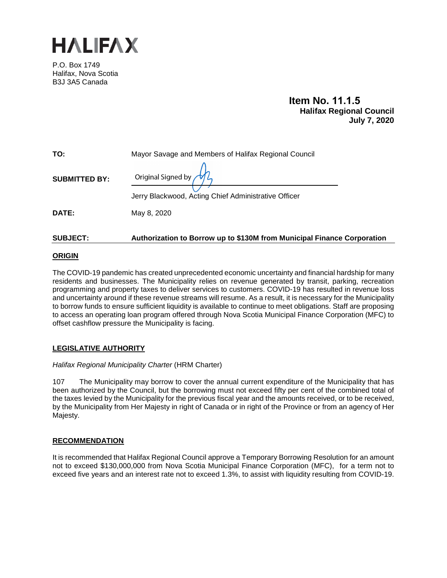

P.O. Box 1749 Halifax, Nova Scotia B3J 3A5 Canada

> **Item No. 11.1.5 Halifax Regional Council July 7, 2020**

| TO:                  | Mayor Savage and Members of Halifax Regional Council                                               |  |  |
|----------------------|----------------------------------------------------------------------------------------------------|--|--|
| <b>SUBMITTED BY:</b> | Original Signed by $\mathcal{M}_{\lambda}$<br>Jerry Blackwood, Acting Chief Administrative Officer |  |  |
| <b>DATE:</b>         | May 8, 2020                                                                                        |  |  |

## **SUBJECT: Authorization to Borrow up to \$130M from Municipal Finance Corporation**

### **ORIGIN**

The COVID-19 pandemic has created unprecedented economic uncertainty and financial hardship for many residents and businesses. The Municipality relies on revenue generated by transit, parking, recreation programming and property taxes to deliver services to customers. COVID-19 has resulted in revenue loss and uncertainty around if these revenue streams will resume. As a result, it is necessary for the Municipality to borrow funds to ensure sufficient liquidity is available to continue to meet obligations. Staff are proposing to access an operating loan program offered through Nova Scotia Municipal Finance Corporation (MFC) to offset cashflow pressure the Municipality is facing.

## **LEGISLATIVE AUTHORITY**

#### *Halifax Regional Municipality Charter* (HRM Charter)

107The Municipality may borrow to cover the annual current expenditure of the Municipality that has been authorized by the Council, but the borrowing must not exceed fifty per cent of the combined total of the taxes levied by the Municipality for the previous fiscal year and the amounts received, or to be received, by the Municipality from Her Majesty in right of Canada or in right of the Province or from an agency of Her Majesty.

#### **RECOMMENDATION**

It is recommended that Halifax Regional Council approve a Temporary Borrowing Resolution for an amount not to exceed \$130,000,000 from Nova Scotia Municipal Finance Corporation (MFC), for a term not to exceed five years and an interest rate not to exceed 1.3%, to assist with liquidity resulting from COVID-19.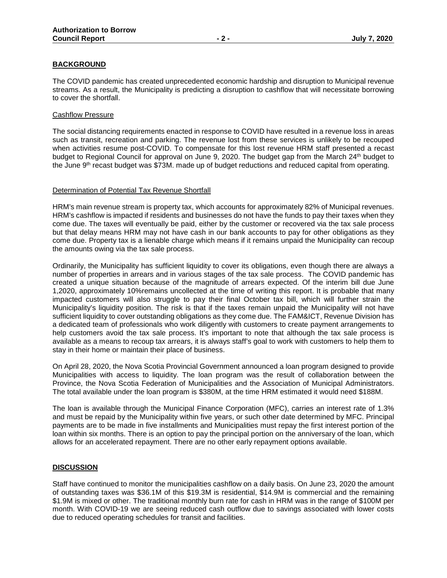## **BACKGROUND**

The COVID pandemic has created unprecedented economic hardship and disruption to Municipal revenue streams. As a result, the Municipality is predicting a disruption to cashflow that will necessitate borrowing to cover the shortfall.

### Cashflow Pressure

The social distancing requirements enacted in response to COVID have resulted in a revenue loss in areas such as transit, recreation and parking. The revenue lost from these services is unlikely to be recouped when activities resume post-COVID. To compensate for this lost revenue HRM staff presented a recast budget to Regional Council for approval on June 9, 2020. The budget gap from the March 24<sup>th</sup> budget to the June 9th recast budget was \$73M. made up of budget reductions and reduced capital from operating.

#### Determination of Potential Tax Revenue Shortfall

HRM's main revenue stream is property tax, which accounts for approximately 82% of Municipal revenues. HRM's cashflow is impacted if residents and businesses do not have the funds to pay their taxes when they come due. The taxes will eventually be paid, either by the customer or recovered via the tax sale process but that delay means HRM may not have cash in our bank accounts to pay for other obligations as they come due. Property tax is a lienable charge which means if it remains unpaid the Municipality can recoup the amounts owing via the tax sale process.

Ordinarily, the Municipality has sufficient liquidity to cover its obligations, even though there are always a number of properties in arrears and in various stages of the tax sale process. The COVID pandemic has created a unique situation because of the magnitude of arrears expected. Of the interim bill due June 1,2020, approximately 10%remains uncollected at the time of writing this report. It is probable that many impacted customers will also struggle to pay their final October tax bill, which will further strain the Municipality's liquidity position. The risk is that if the taxes remain unpaid the Municipality will not have sufficient liquidity to cover outstanding obligations as they come due. The FAM&ICT, Revenue Division has a dedicated team of professionals who work diligently with customers to create payment arrangements to help customers avoid the tax sale process. It's important to note that although the tax sale process is available as a means to recoup tax arrears, it is always staff's goal to work with customers to help them to stay in their home or maintain their place of business.

On April 28, 2020, the Nova Scotia Provincial Government announced a loan program designed to provide Municipalities with access to liquidity. The loan program was the result of collaboration between the Province, the Nova Scotia Federation of Municipalities and the Association of Municipal Administrators. The total available under the loan program is \$380M, at the time HRM estimated it would need \$188M.

The loan is available through the Municipal Finance Corporation (MFC), carries an interest rate of 1.3% and must be repaid by the Municipality within five years, or such other date determined by MFC. Principal payments are to be made in five installments and Municipalities must repay the first interest portion of the loan within six months. There is an option to pay the principal portion on the anniversary of the loan, which allows for an accelerated repayment. There are no other early repayment options available.

#### **DISCUSSION**

Staff have continued to monitor the municipalities cashflow on a daily basis. On June 23, 2020 the amount of outstanding taxes was \$36.1M of this \$19.3M is residential, \$14.9M is commercial and the remaining \$1.9M is mixed or other. The traditional monthly burn rate for cash in HRM was in the range of \$100M per month. With COVID-19 we are seeing reduced cash outflow due to savings associated with lower costs due to reduced operating schedules for transit and facilities.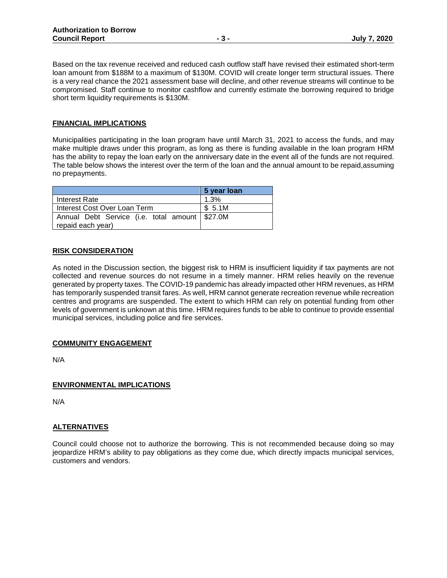Based on the tax revenue received and reduced cash outflow staff have revised their estimated short-term loan amount from \$188M to a maximum of \$130M. COVID will create longer term structural issues. There is a very real chance the 2021 assessment base will decline, and other revenue streams will continue to be compromised. Staff continue to monitor cashflow and currently estimate the borrowing required to bridge short term liquidity requirements is \$130M.

#### **FINANCIAL IMPLICATIONS**

Municipalities participating in the loan program have until March 31, 2021 to access the funds, and may make multiple draws under this program, as long as there is funding available in the loan program HRM has the ability to repay the loan early on the anniversary date in the event all of the funds are not required. The table below shows the interest over the term of the loan and the annual amount to be repaid,assuming no prepayments.

|                                                  | 5 year loan |  |  |
|--------------------------------------------------|-------------|--|--|
| Interest Rate                                    | 1.3%        |  |  |
| Interest Cost Over Loan Term                     | \$5.1M      |  |  |
| Annual Debt Service (i.e. total amount   \$27.0M |             |  |  |
| repaid each year)                                |             |  |  |

### **RISK CONSIDERATION**

As noted in the Discussion section, the biggest risk to HRM is insufficient liquidity if tax payments are not collected and revenue sources do not resume in a timely manner. HRM relies heavily on the revenue generated by property taxes. The COVID-19 pandemic has already impacted other HRM revenues, as HRM has temporarily suspended transit fares. As well, HRM cannot generate recreation revenue while recreation centres and programs are suspended. The extent to which HRM can rely on potential funding from other levels of government is unknown at this time. HRM requires funds to be able to continue to provide essential municipal services, including police and fire services.

#### **COMMUNITY ENGAGEMENT**

N/A

## **ENVIRONMENTAL IMPLICATIONS**

N/A

## **ALTERNATIVES**

Council could choose not to authorize the borrowing. This is not recommended because doing so may jeopardize HRM's ability to pay obligations as they come due, which directly impacts municipal services, customers and vendors.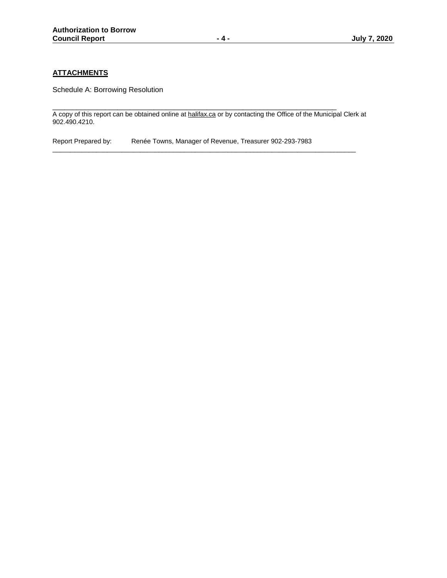# **ATTACHMENTS**

Schedule A: Borrowing Resolution

\_\_\_\_\_\_\_\_\_\_\_\_\_\_\_\_\_\_\_\_\_\_\_\_\_\_\_\_\_\_\_\_\_\_\_\_\_\_\_\_\_\_\_\_\_\_\_\_\_\_\_\_\_\_\_\_\_\_\_\_\_\_\_\_\_\_\_\_\_\_ A copy of this report can be obtained online a[t halifax.ca](http://www.halifax.ca/) or by contacting the Office of the Municipal Clerk at 902.490.4210.

\_\_\_\_\_\_\_\_\_\_\_\_\_\_\_\_\_\_\_\_\_\_\_\_\_\_\_\_\_\_\_\_\_\_\_\_\_\_\_\_\_\_\_\_\_\_\_\_\_\_\_\_\_\_\_\_\_\_\_\_\_\_\_\_\_\_\_\_\_\_\_\_\_\_\_\_\_\_\_\_\_\_\_

Report Prepared by: Renée Towns, Manager of Revenue, Treasurer 902-293-7983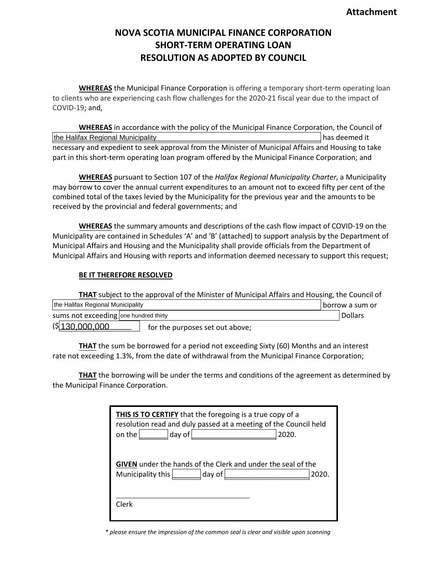# **NOVA SCOTIA MUNICIPAL FINANCE CORPORATION SHORT-TERM OPERATING LOAN RESOLUTION AS ADOPTED BY COUNCIL**

**WHEREAS** the Municipal Finance Corporation is offering a temporary short-term operating loan to clients who are experiencing cash flow challenges for the 2020-21 fiscal year due to the impact of COVID-19; and,

**WHEREAS** in accordance with the policy of the Municipal Finance Corporation, the Council of the Halifax Regional Municipality **the Halifax Regional Municipality the Languary Contract Contract Contract Contract Contract Contract Contract Contract Contract Contract Contract Contract Contract Contract Contract Con** necessary and expedient to seek approval from the Minister of Municipal Affairs and Housing to take part in this short-term operating loan program offered by the Municipal Finance Corporation; and

**WHEREAS** pursuant to Section 107 of the *Halifax Regional Municipality Charter*, a Municipality may borrow to cover the annual current expenditures to an amount not to exceed fifty per cent of the combined total of the taxes levied by the Municipality for the previous year and the amounts to be received by the provincial and federal governments; and

**WHEREAS** the summary amounts and descriptions of the cash flow impact of COVID-19 on the Municipality are contained in Schedules 'A' and 'B' (attached) to support analysis by the Department of Municipal Affairs and Housing and the Municipality shall provide officials from the Department of Municipal Affairs and Housing with reports and information deemed necessary to support this request;

### **BE IT THEREFORE RESOLVED**

| THAT subject to the approval of the Minister of Municipal Affairs and Housing, the Council of |  |                                 |  |         |  |
|-----------------------------------------------------------------------------------------------|--|---------------------------------|--|---------|--|
| the Halifax Regional Municipality                                                             |  | borrow a sum or                 |  |         |  |
| sums not exceeding one hundred thirty                                                         |  |                                 |  | Dollars |  |
| \$130,000,000                                                                                 |  | for the purposes set out above; |  |         |  |

**THAT** the sum be borrowed for a period not exceeding Sixty (60) Months and an interest rate not exceeding 1.3%, from the date of withdrawal from the Municipal Finance Corporation;

**THAT** the borrowing will be under the terms and conditions of the agreement as determined by the Municipal Finance Corporation.

| THIS IS TO CERTIFY that the foregoing is a true copy of a<br>resolution read and duly passed at a meeting of the Council held<br>$ day \text{ of }  $<br>2020.<br>on the |
|--------------------------------------------------------------------------------------------------------------------------------------------------------------------------|
| <b>GIVEN</b> under the hands of the Clerk and under the seal of the<br>$day$ of<br>Municipality this<br>2020.                                                            |
| Clerk                                                                                                                                                                    |

*\* please ensure the impression of the common seal is clear and visible upon scanning*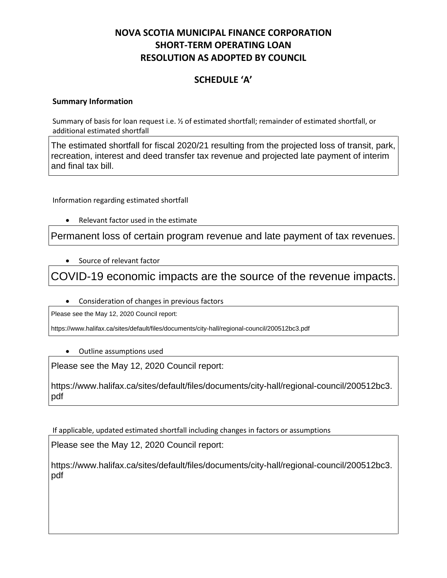# **NOVA SCOTIA MUNICIPAL FINANCE CORPORATION SHORT-TERM OPERATING LOAN RESOLUTION AS ADOPTED BY COUNCIL**

# **SCHEDULE 'A'**

# **Summary Information**

Summary of basis for loan request i.e. ½ of estimated shortfall; remainder of estimated shortfall, or additional estimated shortfall

The estimated shortfall for fiscal 2020/21 resulting from the projected loss of transit, park, recreation, interest and deed transfer tax revenue and projected late payment of interim and final tax bill.

Information regarding estimated shortfall

• Relevant factor used in the estimate

Permanent loss of certain program revenue and late payment of tax revenues.

• Source of relevant factor

COVID-19 economic impacts are the source of the revenue impacts.

• Consideration of changes in previous factors

Please see the May 12, 2020 Council report:

https://www.halifax.ca/sites/default/files/documents/city-hall/regional-council/200512bc3.pdf

• Outline assumptions used

Please see the May 12, 2020 Council report:

https://www.halifax.ca/sites/default/files/documents/city-hall/regional-council/200512bc3. pdf

If applicable, updated estimated shortfall including changes in factors or assumptions

Please see the May 12, 2020 Council report:

https://www.halifax.ca/sites/default/files/documents/city-hall/regional-council/200512bc3. pdf